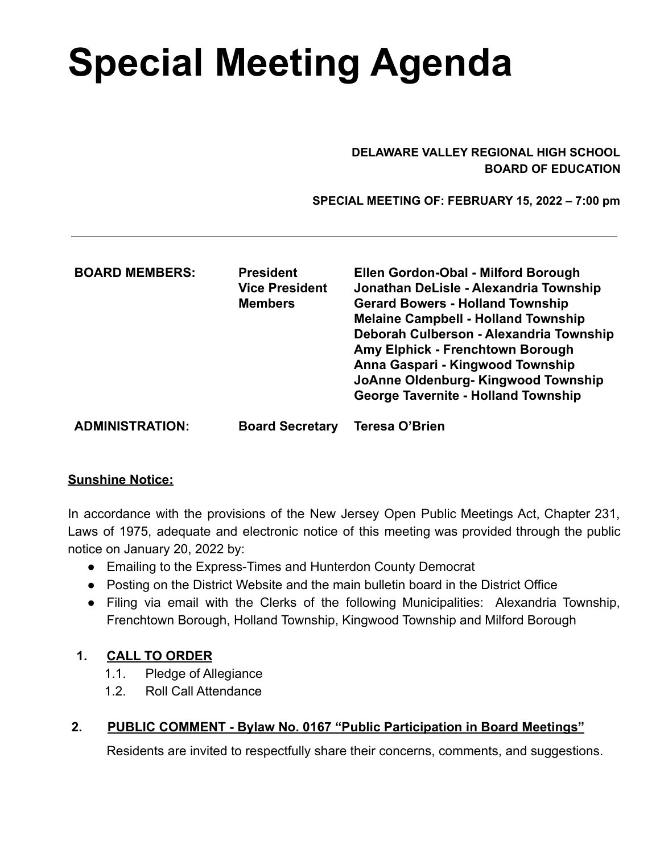# **Special Meeting Agenda**

#### **DELAWARE VALLEY REGIONAL HIGH SCHOOL BOARD OF EDUCATION**

**SPECIAL MEETING OF: FEBRUARY 15, 2022 – 7:00 pm**

| <b>BOARD MEMBERS:</b>  | <b>President</b><br><b>Vice President</b><br><b>Members</b> | Ellen Gordon-Obal - Milford Borough<br>Jonathan DeLisle - Alexandria Township<br><b>Gerard Bowers - Holland Township</b><br><b>Melaine Campbell - Holland Township</b><br>Deborah Culberson - Alexandria Township<br>Amy Elphick - Frenchtown Borough<br>Anna Gaspari - Kingwood Township<br>JoAnne Oldenburg-Kingwood Township<br><b>George Tavernite - Holland Township</b> |
|------------------------|-------------------------------------------------------------|-------------------------------------------------------------------------------------------------------------------------------------------------------------------------------------------------------------------------------------------------------------------------------------------------------------------------------------------------------------------------------|
| <b>ADMINISTRATION:</b> | <b>Board Secretary</b>                                      | <b>Teresa O'Brien</b>                                                                                                                                                                                                                                                                                                                                                         |

#### **Sunshine Notice:**

In accordance with the provisions of the New Jersey Open Public Meetings Act, Chapter 231, Laws of 1975, adequate and electronic notice of this meeting was provided through the public notice on January 20, 2022 by:

- Emailing to the Express-Times and Hunterdon County Democrat
- Posting on the District Website and the main bulletin board in the District Office
- Filing via email with the Clerks of the following Municipalities: Alexandria Township, Frenchtown Borough, Holland Township, Kingwood Township and Milford Borough

#### **1. CALL TO ORDER**

- 1.1. Pledge of Allegiance
- 1.2. Roll Call Attendance

## **2. PUBLIC COMMENT - Bylaw No. 0167 "Public Participation in Board Meetings"**

Residents are invited to respectfully share their concerns, comments, and suggestions.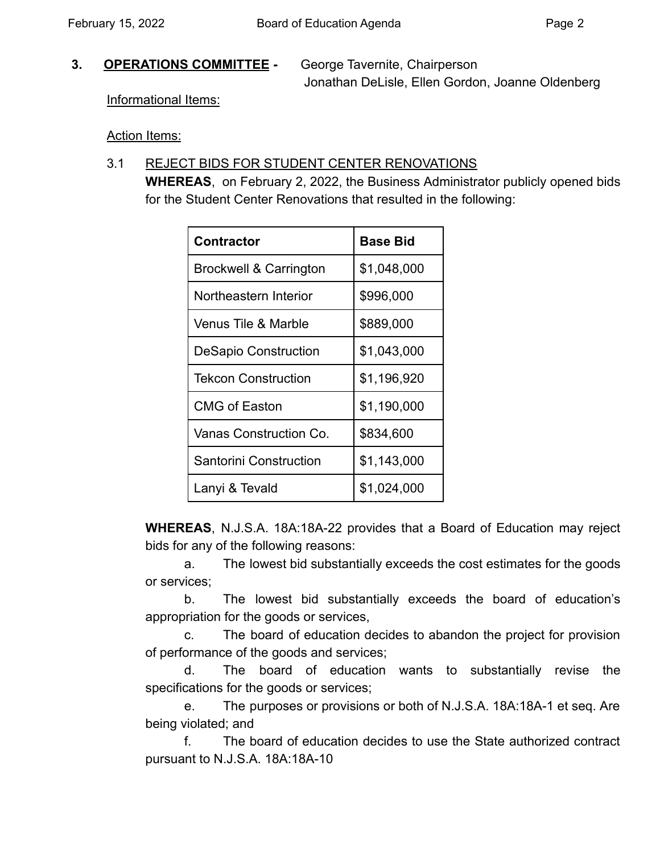#### **3. OPERATIONS COMMITTEE -** George Tavernite, Chairperson

Jonathan DeLisle, Ellen Gordon, Joanne Oldenberg

Informational Items:

Action Items:

## 3.1 REJECT BIDS FOR STUDENT CENTER RENOVATIONS

**WHEREAS**, on February 2, 2022, the Business Administrator publicly opened bids for the Student Center Renovations that resulted in the following:

| <b>Contractor</b>           | <b>Base Bid</b> |
|-----------------------------|-----------------|
| Brockwell & Carrington      | \$1,048,000     |
| Northeastern Interior       | \$996,000       |
| Venus Tile & Marble         | \$889,000       |
| <b>DeSapio Construction</b> | \$1,043,000     |
| Tekcon Construction         | \$1,196,920     |
| <b>CMG of Easton</b>        | \$1,190,000     |
| Vanas Construction Co.      | \$834,600       |
| Santorini Construction      | \$1,143,000     |
| Lanyi & Tevald              | \$1,024,000     |

**WHEREAS**, N.J.S.A. 18A:18A-22 provides that a Board of Education may reject bids for any of the following reasons:

a. The lowest bid substantially exceeds the cost estimates for the goods or services;

b. The lowest bid substantially exceeds the board of education's appropriation for the goods or services,

c. The board of education decides to abandon the project for provision of performance of the goods and services;

d. The board of education wants to substantially revise the specifications for the goods or services;

e. The purposes or provisions or both of N.J.S.A. 18A:18A-1 et seq. Are being violated; and

f. The board of education decides to use the State authorized contract pursuant to N.J.S.A. 18A:18A-10